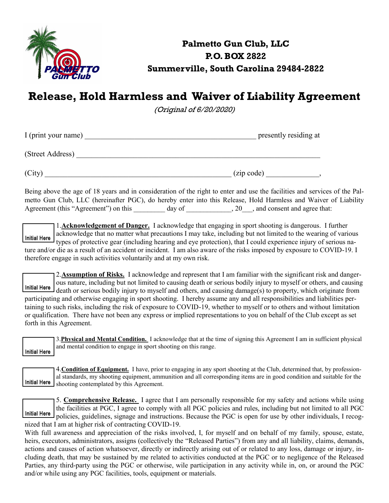

## **Palmetto Gun Club, LLC P.O. BOX 2822 Summerville, South Carolina 29484-2822**

## **Release, Hold Harmless and Waiver of Liability Agreement**

(Original of 6/20/2020)

| I (print your name) | presently residing at |
|---------------------|-----------------------|
| (Street Address)    |                       |
| (City)              | (zip code)            |

Being above the age of 18 years and in consideration of the right to enter and use the facilities and services of the Palmetto Gun Club, LLC (hereinafter PGC), do hereby enter into this Release, Hold Harmless and Waiver of Liability Agreement (this "Agreement") on this day of  $\qquad \qquad , 20$ , and consent and agree that:

1.**Acknowledgement of Danger.** I acknowledge that engaging in sport shooting is dangerous. I further acknowledge that no matter what precautions I may take, including but not limited to the wearing of various types of protective gear (including hearing and eye protection), that I could experience injury of serious nature and/or die as a result of an accident or incident. I am also aware of the risks imposed by exposure to COVID-19. I therefore engage in such activities voluntarily and at my own risk. Initial Here

2.**Assumption of Risks.** I acknowledge and represent that I am familiar with the significant risk and dangerous nature, including but not limited to causing death or serious bodily injury to myself or others, and causing Initial Here and the metal contribution of the contract of the state of the contract of the property, which originate from participating and otherwise engaging in sport shooting. I hereby assume any and all responsibilities and liabilities pertaining to such risks, including the risk of exposure to COVID-19, whether to myself or to others and without limitation or qualification. There have not been any express or implied representations to you on behalf of the Club except as set forth in this Agreement.

3.**Physical and Mental Condition.** I acknowledge that at the time of signing this Agreement I am in sufficient physical and mental condition to engage in sport shooting on this range. Initial Here

4.**Condition of Equipment.** I have, prior to engaging in any sport shooting at the Club, determined that, by professional standards, my shooting equipment, ammunition and all corresponding items are in good condition and suitable for the Initial Here shooting contemplated by this Agreement.

5. **Comprehensive Release.** I agree that I am personally responsible for my safety and actions while using the facilities at PGC, I agree to comply with all PGC policies and rules, including but not limited to all PGC policies, guidelines, signage and instructions. Because the PGC is open for use by other individuals, I recognized that I am at higher risk of contracting COVID-19. Initial Here

With full awareness and appreciation of the risks involved, I, for myself and on behalf of my family, spouse, estate, heirs, executors, administrators, assigns (collectively the "Released Parties") from any and all liability, claims, demands, actions and causes of action whatsoever, directly or indirectly arising out of or related to any loss, damage or injury, including death, that may be sustained by me related to activities conducted at the PGC or to negligence of the Released Parties, any third-party using the PGC or otherwise, wile participation in any activity while in, on, or around the PGC and/or while using any PGC facilities, tools, equipment or materials.